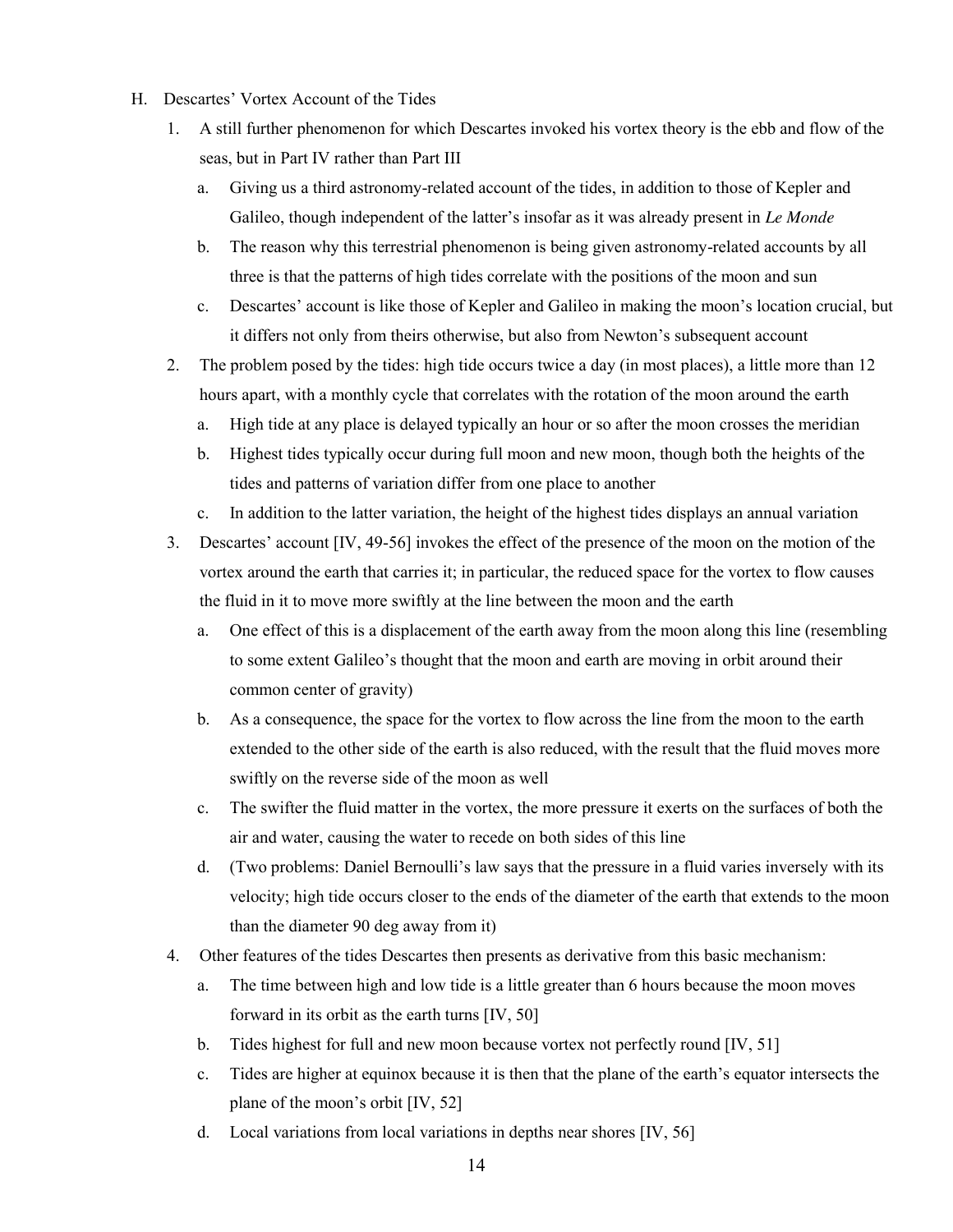- H. Descartes' Vortex Account of the Tides
	- 1. A still further phenomenon for which Descartes invoked his vortex theory is the ebb and flow of the seas, but in Part IV rather than Part III
		- a. Giving us a third astronomy-related account of the tides, in addition to those of Kepler and Galileo, though independent of the latter's insofar as it was already present in *Le Monde*
		- b. The reason why this terrestrial phenomenon is being given astronomy-related accounts by all three is that the patterns of high tides correlate with the positions of the moon and sun
		- c. Descartes' account is like those of Kepler and Galileo in making the moon's location crucial, but it differs not only from theirs otherwise, but also from Newton's subsequent account
	- 2. The problem posed by the tides: high tide occurs twice a day (in most places), a little more than 12 hours apart, with a monthly cycle that correlates with the rotation of the moon around the earth
		- a. High tide at any place is delayed typically an hour or so after the moon crosses the meridian
		- b. Highest tides typically occur during full moon and new moon, though both the heights of the tides and patterns of variation differ from one place to another
		- c. In addition to the latter variation, the height of the highest tides displays an annual variation
	- 3. Descartes' account [IV, 49-56] invokes the effect of the presence of the moon on the motion of the vortex around the earth that carries it; in particular, the reduced space for the vortex to flow causes the fluid in it to move more swiftly at the line between the moon and the earth
		- a. One effect of this is a displacement of the earth away from the moon along this line (resembling to some extent Galileo's thought that the moon and earth are moving in orbit around their common center of gravity)
		- b. As a consequence, the space for the vortex to flow across the line from the moon to the earth extended to the other side of the earth is also reduced, with the result that the fluid moves more swiftly on the reverse side of the moon as well
		- c. The swifter the fluid matter in the vortex, the more pressure it exerts on the surfaces of both the air and water, causing the water to recede on both sides of this line
		- d. (Two problems: Daniel Bernoulli's law says that the pressure in a fluid varies inversely with its velocity; high tide occurs closer to the ends of the diameter of the earth that extends to the moon than the diameter 90 deg away from it)
	- 4. Other features of the tides Descartes then presents as derivative from this basic mechanism:
		- a. The time between high and low tide is a little greater than 6 hours because the moon moves forward in its orbit as the earth turns [IV, 50]
		- b. Tides highest for full and new moon because vortex not perfectly round [IV, 51]
		- c. Tides are higher at equinox because it is then that the plane of the earth's equator intersects the plane of the moon's orbit [IV, 52]
		- d. Local variations from local variations in depths near shores [IV, 56]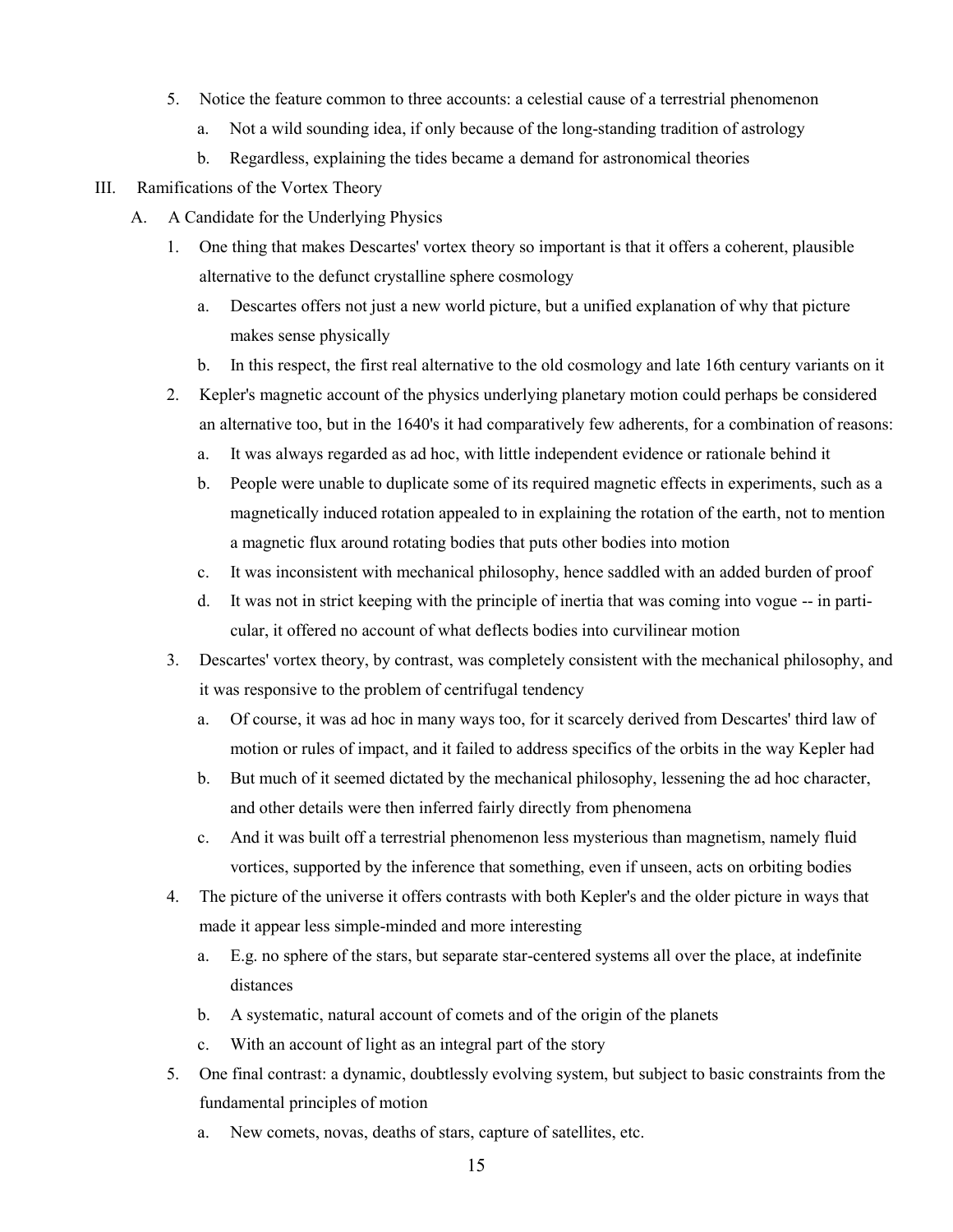- 5. Notice the feature common to three accounts: a celestial cause of a terrestrial phenomenon
	- a. Not a wild sounding idea, if only because of the long-standing tradition of astrology
	- b. Regardless, explaining the tides became a demand for astronomical theories

## III. Ramifications of the Vortex Theory

- A. A Candidate for the Underlying Physics
	- 1. One thing that makes Descartes' vortex theory so important is that it offers a coherent, plausible alternative to the defunct crystalline sphere cosmology
		- a. Descartes offers not just a new world picture, but a unified explanation of why that picture makes sense physically
		- b. In this respect, the first real alternative to the old cosmology and late 16th century variants on it
	- 2. Kepler's magnetic account of the physics underlying planetary motion could perhaps be considered an alternative too, but in the 1640's it had comparatively few adherents, for a combination of reasons:
		- a. It was always regarded as ad hoc, with little independent evidence or rationale behind it
		- b. People were unable to duplicate some of its required magnetic effects in experiments, such as a magnetically induced rotation appealed to in explaining the rotation of the earth, not to mention a magnetic flux around rotating bodies that puts other bodies into motion
		- c. It was inconsistent with mechanical philosophy, hence saddled with an added burden of proof
		- d. It was not in strict keeping with the principle of inertia that was coming into vogue -- in particular, it offered no account of what deflects bodies into curvilinear motion
	- 3. Descartes' vortex theory, by contrast, was completely consistent with the mechanical philosophy, and it was responsive to the problem of centrifugal tendency
		- a. Of course, it was ad hoc in many ways too, for it scarcely derived from Descartes' third law of motion or rules of impact, and it failed to address specifics of the orbits in the way Kepler had
		- b. But much of it seemed dictated by the mechanical philosophy, lessening the ad hoc character, and other details were then inferred fairly directly from phenomena
		- c. And it was built off a terrestrial phenomenon less mysterious than magnetism, namely fluid vortices, supported by the inference that something, even if unseen, acts on orbiting bodies
	- 4. The picture of the universe it offers contrasts with both Kepler's and the older picture in ways that made it appear less simple-minded and more interesting
		- a. E.g. no sphere of the stars, but separate star-centered systems all over the place, at indefinite distances
		- b. A systematic, natural account of comets and of the origin of the planets
		- c. With an account of light as an integral part of the story
	- 5. One final contrast: a dynamic, doubtlessly evolving system, but subject to basic constraints from the fundamental principles of motion
		- a. New comets, novas, deaths of stars, capture of satellites, etc.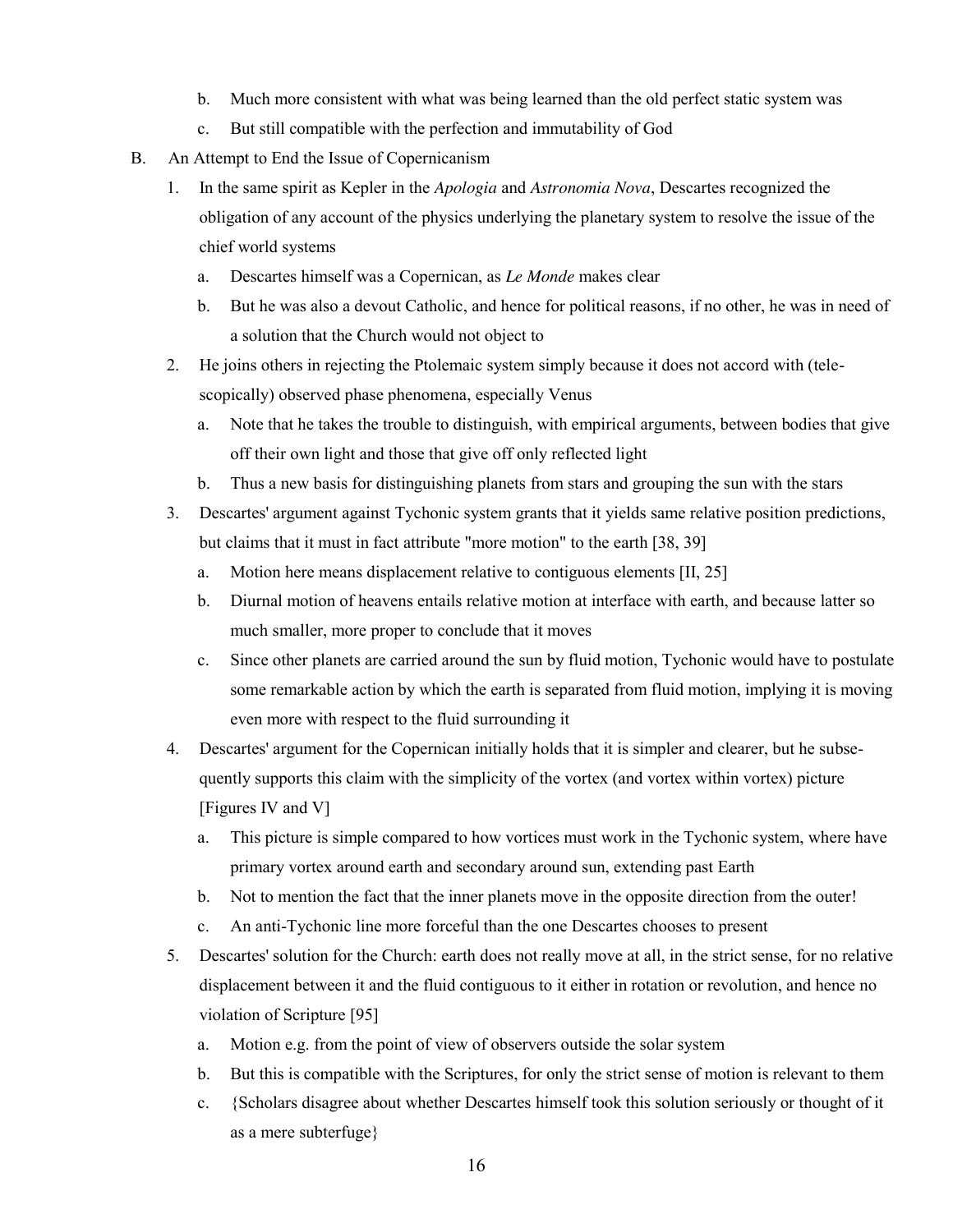- b. Much more consistent with what was being learned than the old perfect static system was
- c. But still compatible with the perfection and immutability of God
- B. An Attempt to End the Issue of Copernicanism
	- 1. In the same spirit as Kepler in the *Apologia* and *Astronomia Nova*, Descartes recognized the obligation of any account of the physics underlying the planetary system to resolve the issue of the chief world systems
		- a. Descartes himself was a Copernican, as *Le Monde* makes clear
		- b. But he was also a devout Catholic, and hence for political reasons, if no other, he was in need of a solution that the Church would not object to
	- 2. He joins others in rejecting the Ptolemaic system simply because it does not accord with (telescopically) observed phase phenomena, especially Venus
		- a. Note that he takes the trouble to distinguish, with empirical arguments, between bodies that give off their own light and those that give off only reflected light
		- b. Thus a new basis for distinguishing planets from stars and grouping the sun with the stars
	- 3. Descartes' argument against Tychonic system grants that it yields same relative position predictions, but claims that it must in fact attribute "more motion" to the earth [38, 39]
		- a. Motion here means displacement relative to contiguous elements [II, 25]
		- b. Diurnal motion of heavens entails relative motion at interface with earth, and because latter so much smaller, more proper to conclude that it moves
		- c. Since other planets are carried around the sun by fluid motion, Tychonic would have to postulate some remarkable action by which the earth is separated from fluid motion, implying it is moving even more with respect to the fluid surrounding it
	- 4. Descartes' argument for the Copernican initially holds that it is simpler and clearer, but he subsequently supports this claim with the simplicity of the vortex (and vortex within vortex) picture [Figures IV and V]
		- a. This picture is simple compared to how vortices must work in the Tychonic system, where have primary vortex around earth and secondary around sun, extending past Earth
		- b. Not to mention the fact that the inner planets move in the opposite direction from the outer!
		- c. An anti-Tychonic line more forceful than the one Descartes chooses to present
	- 5. Descartes' solution for the Church: earth does not really move at all, in the strict sense, for no relative displacement between it and the fluid contiguous to it either in rotation or revolution, and hence no violation of Scripture [95]
		- a. Motion e.g. from the point of view of observers outside the solar system
		- b. But this is compatible with the Scriptures, for only the strict sense of motion is relevant to them
		- c. {Scholars disagree about whether Descartes himself took this solution seriously or thought of it as a mere subterfuge}